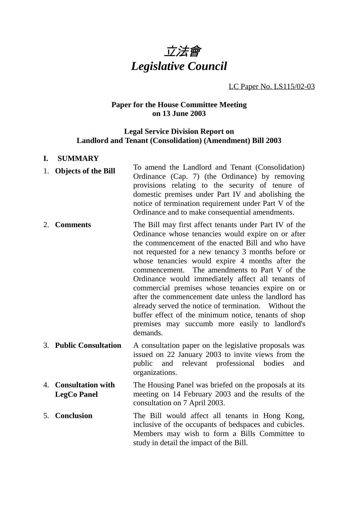

## LC Paper No. LS115/02-03

# **Paper for the House Committee Meeting on 13 June 2003**

## **Legal Service Division Report on Landlord and Tenant (Consolidation) (Amendment) Bill 2003**

#### **I. SUMMARY**

- 1. **Objects of the Bill** To amend the Landlord and Tenant (Consolidation) Ordinance (Cap. 7) (the Ordinance) by removing provisions relating to the security of tenure of domestic premises under Part IV and abolishing the notice of termination requirement under Part V of the Ordinance and to make consequential amendments.
- 2. **Comments** The Bill may first affect tenants under Part IV of the Ordinance whose tenancies would expire on or after the commencement of the enacted Bill and who have not requested for a new tenancy 3 months before or whose tenancies would expire 4 months after the commencement. The amendments to Part V of the Ordinance would immediately affect all tenants of commercial premises whose tenancies expire on or after the commencement date unless the landlord has already served the notice of termination. Without the buffer effect of the minimum notice, tenants of shop premises may succumb more easily to landlord's demands.
- 3. **Public Consultation** A consultation paper on the legislative proposals was issued on 22 January 2003 to invite views from the public and relevant professional bodies and organizations.
- 4. **Consultation with LegCo Panel** The Housing Panel was briefed on the proposals at its meeting on 14 February 2003 and the results of the consultation on 7 April 2003.
- 5. **Conclusion** The Bill would affect all tenants in Hong Kong, inclusive of the occupants of bedspaces and cubicles. Members may wish to form a Bills Committee to study in detail the impact of the Bill.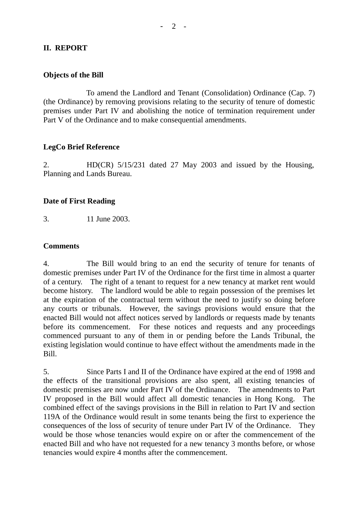# **II. REPORT**

## **Objects of the Bill**

To amend the Landlord and Tenant (Consolidation) Ordinance (Cap. 7) (the Ordinance) by removing provisions relating to the security of tenure of domestic premises under Part IV and abolishing the notice of termination requirement under Part V of the Ordinance and to make consequential amendments.

# **LegCo Brief Reference**

2. HD(CR) 5/15/231 dated 27 May 2003 and issued by the Housing, Planning and Lands Bureau.

#### **Date of First Reading**

3. 11 June 2003.

#### **Comments**

4. The Bill would bring to an end the security of tenure for tenants of domestic premises under Part IV of the Ordinance for the first time in almost a quarter of a century. The right of a tenant to request for a new tenancy at market rent would become history. The landlord would be able to regain possession of the premises let at the expiration of the contractual term without the need to justify so doing before any courts or tribunals. However, the savings provisions would ensure that the enacted Bill would not affect notices served by landlords or requests made by tenants before its commencement. For these notices and requests and any proceedings commenced pursuant to any of them in or pending before the Lands Tribunal, the existing legislation would continue to have effect without the amendments made in the Bill.

5. Since Parts I and II of the Ordinance have expired at the end of 1998 and the effects of the transitional provisions are also spent, all existing tenancies of domestic premises are now under Part IV of the Ordinance. The amendments to Part IV proposed in the Bill would affect all domestic tenancies in Hong Kong. The combined effect of the savings provisions in the Bill in relation to Part IV and section 119A of the Ordinance would result in some tenants being the first to experience the consequences of the loss of security of tenure under Part IV of the Ordinance. They would be those whose tenancies would expire on or after the commencement of the enacted Bill and who have not requested for a new tenancy 3 months before, or whose tenancies would expire 4 months after the commencement.